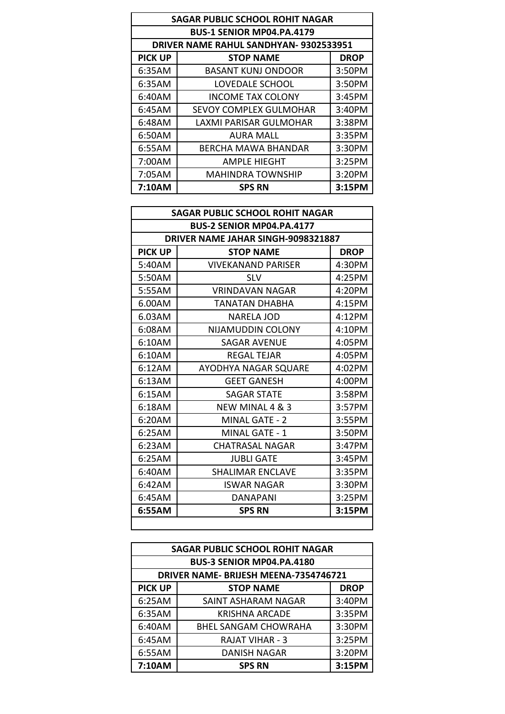| <b>SAGAR PUBLIC SCHOOL ROHIT NAGAR</b> |                                               |             |  |
|----------------------------------------|-----------------------------------------------|-------------|--|
|                                        | <b>BUS-1 SENIOR MP04.PA.4179</b>              |             |  |
|                                        | <b>DRIVER NAME RAHUL SANDHYAN- 9302533951</b> |             |  |
| <b>PICK UP</b>                         | <b>STOP NAME</b>                              | <b>DROP</b> |  |
| 6:35AM                                 | <b>BASANT KUNJ ONDOOR</b>                     | 3:50PM      |  |
| 6:35AM                                 | LOVEDALE SCHOOL                               | 3:50PM      |  |
| 6:40AM                                 | <b>INCOME TAX COLONY</b>                      | 3:45PM      |  |
| 6:45AM                                 | <b>SEVOY COMPLEX GULMOHAR</b>                 | 3:40PM      |  |
| 6:48AM                                 | <b>LAXMI PARISAR GULMOHAR</b>                 | 3:38PM      |  |
| 6:50AM                                 | AURA MALL                                     | 3:35PM      |  |
| 6:55AM                                 | BERCHA MAWA BHANDAR                           | 3:30PM      |  |
| 7:00AM                                 | <b>AMPLE HIEGHT</b>                           | 3:25PM      |  |
| 7:05AM                                 | <b>MAHINDRA TOWNSHIP</b>                      | 3:20PM      |  |
| 7:10AM                                 | <b>SPS RN</b>                                 | 3:15PM      |  |

| <b>SAGAR PUBLIC SCHOOL ROHIT NAGAR</b> |                                    |             |
|----------------------------------------|------------------------------------|-------------|
| <b>BUS-2 SENIOR MP04.PA.4177</b>       |                                    |             |
|                                        | DRIVER NAME JAHAR SINGH-9098321887 |             |
| <b>PICK UP</b>                         | <b>STOP NAME</b>                   | <b>DROP</b> |
| 5:40AM                                 | <b>VIVEKANAND PARISER</b>          | 4:30PM      |
| 5:50AM                                 | <b>SLV</b>                         | 4:25PM      |
| 5:55AM                                 | <b>VRINDAVAN NAGAR</b>             | 4:20PM      |
| 6.00AM                                 | <b>TANATAN DHABHA</b>              | 4:15PM      |
| 6.03AM                                 | NARELA JOD                         | 4:12PM      |
| 6:08AM                                 | NIJAMUDDIN COLONY                  | 4:10PM      |
| 6:10AM                                 | SAGAR AVENUE                       | 4:05PM      |
| 6:10AM                                 | <b>REGAL TEJAR</b>                 | 4:05PM      |
| 6:12AM                                 | AYODHYA NAGAR SQUARE               | 4:02PM      |
| 6:13AM                                 | <b>GEET GANESH</b>                 | 4:00PM      |
| 6:15AM                                 | <b>SAGAR STATE</b>                 | 3:58PM      |
| 6:18AM                                 | NEW MINAL 4 & 3                    | 3:57PM      |
| 6:20AM                                 | MINAL GATE - 2                     | 3:55PM      |
| 6:25AM                                 | MINAL GATE - 1                     | 3:50PM      |
| 6:23AM                                 | CHATRASAL NAGAR                    | $3:47$ PM   |
| 6:25AM                                 | <b>JUBLI GATE</b>                  | 3:45PM      |
| 6:40AM                                 | <b>SHALIMAR ENCLAVE</b>            | 3:35PM      |
| 6:42AM                                 | ISWAR NAGAR                        | 3:30PM      |
| 6:45AM                                 | DANAPANI                           | 3:25PM      |
| 6:55AM                                 | <b>SPS RN</b>                      | 3:15PM      |
|                                        |                                    |             |

| <b>SAGAR PUBLIC SCHOOL ROHIT NAGAR</b> |                                      |             |  |
|----------------------------------------|--------------------------------------|-------------|--|
|                                        | <b>BUS-3 SENIOR MP04.PA.4180</b>     |             |  |
|                                        | DRIVER NAME-BRIJESH MEENA-7354746721 |             |  |
| <b>PICK UP</b>                         | <b>STOP NAME</b>                     | <b>DROP</b> |  |
| 6:25AM                                 | SAINT ASHARAM NAGAR                  | 3:40PM      |  |
| 6:35AM                                 | KRISHNA ARCADE                       | 3:35PM      |  |
| 6:40AM                                 | <b>BHEL SANGAM CHOWRAHA</b>          | 3:30PM      |  |
| 6:45AM                                 | <b>RAJAT VIHAR - 3</b>               | 3:25PM      |  |
| 6:55AM                                 | <b>DANISH NAGAR</b>                  | 3:20PM      |  |
| 7:10AM                                 | <b>SPS RN</b>                        | 3:15PM      |  |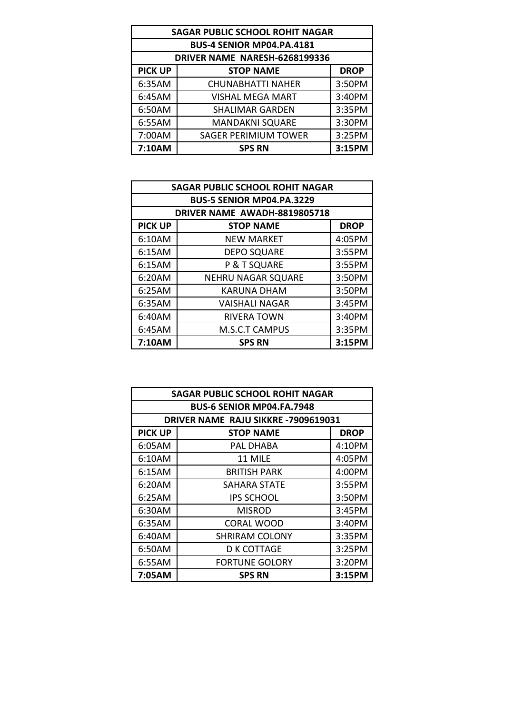|                | <b>SAGAR PUBLIC SCHOOL ROHIT NAGAR</b> |             |  |
|----------------|----------------------------------------|-------------|--|
|                | BUS-4 SENIOR MP04.PA.4181              |             |  |
|                | DRIVER NAME NARESH-6268199336          |             |  |
| <b>PICK UP</b> | <b>STOP NAME</b>                       | <b>DROP</b> |  |
| 6:35AM         | <b>CHUNABHATTI NAHER</b>               | 3:50PM      |  |
| 6:45AM         | <b>VISHAL MEGA MART</b>                | 3:40PM      |  |
| 6:50AM         | <b>SHALIMAR GARDEN</b>                 | 3:35PM      |  |
| 6:55AM         | <b>MANDAKNI SQUARE</b>                 | 3:30PM      |  |
| 7:00AM         | <b>SAGER PERIMIUM TOWER</b>            | 3:25PM      |  |
| 7:10AM         | <b>SPS RN</b>                          | 3:15PM      |  |

|                | <b>SAGAR PUBLIC SCHOOL ROHIT NAGAR</b> |             |
|----------------|----------------------------------------|-------------|
|                | <b>BUS-5 SENIOR MP04.PA.3229</b>       |             |
|                | DRIVER NAME AWADH-8819805718           |             |
| <b>PICK UP</b> | <b>STOP NAME</b>                       | <b>DROP</b> |
| 6:10AM         | <b>NEW MARKET</b>                      | 4:05PM      |
| 6:15AM         | <b>DEPO SQUARE</b>                     | 3:55PM      |
| 6:15AM         | P & T SQUARE                           | 3:55PM      |
| 6:20AM         | <b>NEHRU NAGAR SQUARE</b>              | 3:50PM      |
| 6:25AM         | KARUNA DHAM                            | 3:50PM      |
| 6:35AM         | <b>VAISHALI NAGAR</b>                  | 3:45PM      |
| 6:40AM         | RIVERA TOWN                            | 3:40PM      |
| 6:45AM         | <b>M.S.C.T CAMPUS</b>                  | 3:35PM      |
| 7:10AM         | <b>SPS RN</b>                          | 3:15PM      |

| <b>SAGAR PUBLIC SCHOOL ROHIT NAGAR</b> |                                    |             |  |
|----------------------------------------|------------------------------------|-------------|--|
|                                        | <b>BUS-6 SENIOR MP04.FA.7948</b>   |             |  |
|                                        | DRIVER NAME RAJU SIKKRE-7909619031 |             |  |
| <b>PICK UP</b>                         | <b>STOP NAME</b>                   | <b>DROP</b> |  |
| 6:05AM                                 | PAL DHABA                          | 4:10PM      |  |
| 6:10AM                                 | 11 MILE                            | 4:05PM      |  |
| 6:15AM                                 | BRITISH PARK                       | 4:00PM      |  |
| 6:20AM                                 | SAHARA STATE                       | $3:55$ PM   |  |
| 6:25AM                                 | <b>IPS SCHOOL</b>                  | 3:50PM      |  |
| 6:30AM                                 | <b>MISROD</b>                      | 3:45PM      |  |
| 6:35AM                                 | CORAL WOOD                         | 3:40PM      |  |
| 6:40AM                                 | <b>SHRIRAM COLONY</b>              | 3:35PM      |  |
| 6:50AM                                 | D K COTTAGE                        | 3:25PM      |  |
| 6:55AM                                 | <b>FORTUNE GOLORY</b>              | 3:20PM      |  |
| 7:05AM                                 | <b>SPS RN</b>                      | 3:15PM      |  |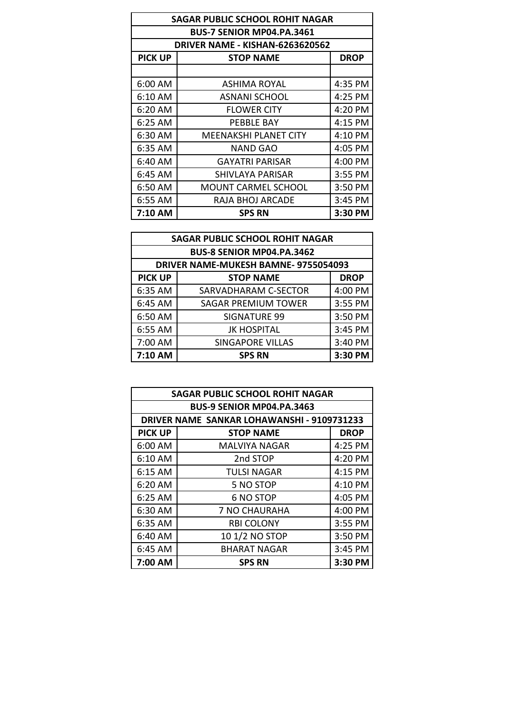| <b>SAGAR PUBLIC SCHOOL ROHIT NAGAR</b> |                                        |             |  |
|----------------------------------------|----------------------------------------|-------------|--|
| <b>BUS-7 SENIOR MP04.PA.3461</b>       |                                        |             |  |
|                                        | <b>DRIVER NAME - KISHAN-6263620562</b> |             |  |
| <b>PICK UP</b>                         | <b>STOP NAME</b>                       | <b>DROP</b> |  |
|                                        |                                        |             |  |
| $6:00$ AM                              | ASHIMA ROYAL                           | 4:35 PM     |  |
| 6:10 AM                                | ASNANI SCHOOL                          | $4:25$ PM   |  |
| 6:20 AM                                | <b>FLOWER CITY</b>                     | 4:20 PM     |  |
| 6:25 AM                                | PEBBLE BAY                             | $4:15$ PM   |  |
| 6:30 AM                                | MEENAKSHI PLANET CITY                  | 4:10 PM     |  |
| 6:35 AM                                | <b>NAND GAO</b>                        | 4:05 PM     |  |
| 6:40 AM                                | <b>GAYATRI PARISAR</b>                 | 4:00 PM     |  |
| 6:45 AM                                | SHIVLAYA PARISAR                       | $3:55$ PM   |  |
| 6:50 AM                                | MOUNT CARMEL SCHOOL                    | 3:50 PM     |  |
| 6:55 AM                                | RAJA BHOJ ARCADE                       | 3:45 PM     |  |
| 7:10 AM                                | <b>SPS RN</b>                          | 3:30 PM     |  |

| <b>SAGAR PUBLIC SCHOOL ROHIT NAGAR</b> |                                      |             |
|----------------------------------------|--------------------------------------|-------------|
|                                        | <b>BUS-8 SENIOR MP04.PA.3462</b>     |             |
|                                        | DRIVER NAME-MUKESH BAMNE- 9755054093 |             |
| <b>PICK UP</b>                         | <b>STOP NAME</b>                     | <b>DROP</b> |
| 6:35 AM                                | SARVADHARAM C-SECTOR                 | 4:00 PM     |
| 6:45 AM                                | <b>SAGAR PREMIUM TOWER</b>           | 3:55 PM     |
| 6:50 AM                                | <b>SIGNATURE 99</b>                  | 3:50 PM     |
| 6:55 AM                                | <b>JK HOSPITAL</b>                   | 3:45 PM     |
| 7:00 AM                                | <b>SINGAPORE VILLAS</b>              | 3:40 PM     |
| 7:10 AM                                | <b>SPS RN</b>                        | 3:30 PM     |

| <b>SAGAR PUBLIC SCHOOL ROHIT NAGAR</b> |                                            |             |  |  |
|----------------------------------------|--------------------------------------------|-------------|--|--|
|                                        | <b>BUS-9 SENIOR MP04.PA.3463</b>           |             |  |  |
|                                        | DRIVER NAME SANKAR LOHAWANSHI - 9109731233 |             |  |  |
| <b>PICK UP</b>                         | <b>STOP NAME</b>                           | <b>DROP</b> |  |  |
| 6:00 AM                                | <b>MALVIYA NAGAR</b>                       | 4:25 PM     |  |  |
| 6:10 AM                                | 2nd STOP                                   | 4:20 PM     |  |  |
| 6:15 AM                                | <b>TULSI NAGAR</b>                         | 4:15 PM     |  |  |
| 6:20 AM                                | 5 NO STOP                                  | 4:10 PM     |  |  |
| 6:25 AM                                | <b>6 NO STOP</b>                           | 4:05 PM     |  |  |
| 6:30 AM                                | <b>7 NO CHAURAHA</b>                       | 4:00 PM     |  |  |
| 6:35 AM                                | <b>RBI COLONY</b>                          | 3:55 PM     |  |  |
| 6:40 AM                                | 10 1/2 NO STOP                             | 3:50 PM     |  |  |
| 6:45 AM                                | <b>BHARAT NAGAR</b>                        | 3:45 PM     |  |  |
| 7:00 AM                                | <b>SPS RN</b>                              | 3:30 PM     |  |  |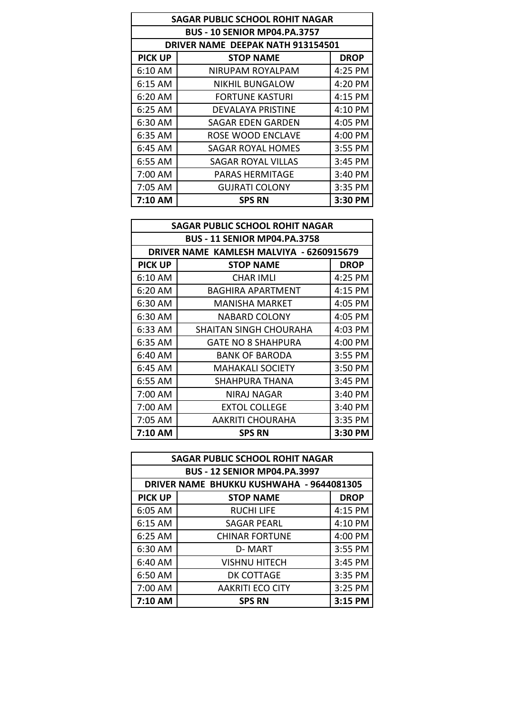| <b>SAGAR PUBLIC SCHOOL ROHIT NAGAR</b> |                                     |             |  |
|----------------------------------------|-------------------------------------|-------------|--|
|                                        | <b>BUS - 10 SENIOR MP04.PA.3757</b> |             |  |
|                                        | DRIVER NAME DEEPAK NATH 913154501   |             |  |
| <b>PICK UP</b>                         | <b>STOP NAME</b>                    | <b>DROP</b> |  |
| 6:10 AM                                | NIRUPAM ROYALPAM                    | 4:25 PM     |  |
| $6:15$ AM                              | <b>NIKHIL BUNGALOW</b>              | 4:20 PM     |  |
| 6:20 AM                                | <b>FORTUNE KASTURI</b>              | 4:15 PM     |  |
| $6:25$ AM                              | DEVALAYA PRISTINE                   | 4:10 PM     |  |
| 6:30 AM                                | SAGAR EDEN GARDEN                   | 4:05 PM     |  |
| 6:35 AM                                | ROSE WOOD ENCLAVE                   | 4:00 PM     |  |
| 6:45 AM                                | SAGAR ROYAL HOMES                   | $3:55$ PM   |  |
| 6:55 AM                                | SAGAR ROYAL VILLAS                  | 3:45 PM     |  |
| 7:00 AM                                | PARAS HERMITAGE                     | 3:40 PM     |  |
| 7:05 AM                                | <b>GUJRATI COLONY</b>               | $3:35$ PM   |  |
| 7:10 AM                                | <b>SPS RN</b>                       | 3:30 PM     |  |

| <b>SAGAR PUBLIC SCHOOL ROHIT NAGAR</b> |                                          |             |
|----------------------------------------|------------------------------------------|-------------|
| <b>BUS - 11 SENIOR MP04.PA.3758</b>    |                                          |             |
|                                        | DRIVER NAME KAMLESH MALVIYA - 6260915679 |             |
| <b>PICK UP</b>                         | <b>STOP NAME</b>                         | <b>DROP</b> |
| 6:10 AM                                | <b>CHAR IMLI</b>                         | 4:25 PM     |
| 6:20 AM                                | <b>BAGHIRA APARTMENT</b>                 | 4:15 PM     |
| 6:30 AM                                | MANISHA MARKET                           | 4:05 PM     |
| 6:30 AM                                | <b>NABARD COLONY</b>                     | 4:05 PM     |
| 6:33 AM                                | <b>SHAITAN SINGH CHOURAHA</b>            | 4:03 PM     |
| 6:35 AM                                | <b>GATE NO 8 SHAHPURA</b>                | 4:00 PM     |
| 6:40 AM                                | <b>BANK OF BARODA</b>                    | 3:55 PM     |
| 6:45 AM                                | <b>MAHAKALI SOCIETY</b>                  | 3:50 PM     |
| 6:55 AM                                | SHAHPURA THANA                           | 3:45 PM     |
| 7:00 AM                                | NIRAJ NAGAR                              | 3:40 PM     |
| 7:00 AM                                | <b>EXTOL COLLEGE</b>                     | 3:40 PM     |
| 7:05 AM                                | <b>AAKRITI CHOURAHA</b>                  | 3:35 PM     |
| 7:10 AM                                | <b>SPS RN</b>                            | 3:30 PM     |

|                | <b>SAGAR PUBLIC SCHOOL ROHIT NAGAR</b>   |             |
|----------------|------------------------------------------|-------------|
|                | <b>BUS - 12 SENIOR MP04.PA.3997</b>      |             |
|                | DRIVER NAME BHUKKU KUSHWAHA - 9644081305 |             |
| <b>PICK UP</b> | <b>STOP NAME</b>                         | <b>DROP</b> |
| 6:05 AM        | <b>RUCHI LIFE</b>                        | 4:15 PM     |
| 6:15 AM        | <b>SAGAR PEARL</b>                       | 4:10 PM     |
| 6:25 AM        | <b>CHINAR FORTUNE</b>                    | 4:00 PM     |
| 6:30 AM        | D-MART                                   | 3:55 PM     |
| 6:40 AM        | <b>VISHNU HITECH</b>                     | 3:45 PM     |
| 6:50 AM        | DK COTTAGE                               | 3:35 PM     |
| 7:00 AM        | <b>AAKRITI ECO CITY</b>                  | 3:25 PM     |
| 7:10 AM        | <b>SPS RN</b>                            | 3:15 PM     |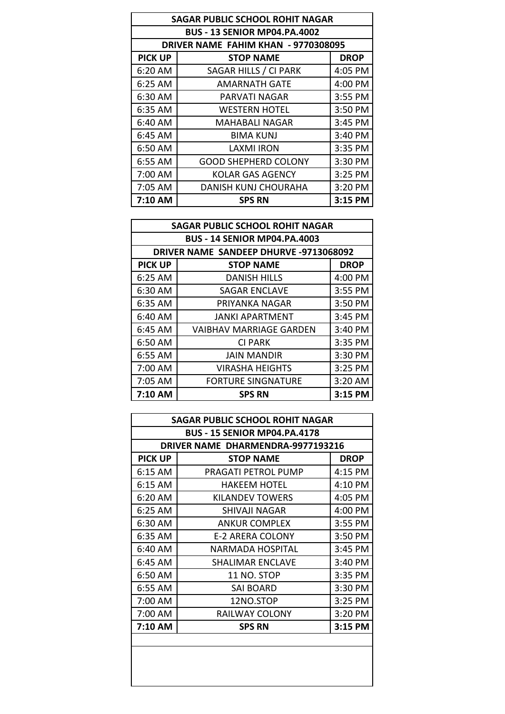| <b>SAGAR PUBLIC SCHOOL ROHIT NAGAR</b> |                                     |             |  |
|----------------------------------------|-------------------------------------|-------------|--|
| <b>BUS - 13 SENIOR MP04.PA.4002</b>    |                                     |             |  |
|                                        | DRIVER NAME FAHIM KHAN - 9770308095 |             |  |
| <b>PICK UP</b>                         | <b>STOP NAME</b>                    | <b>DROP</b> |  |
| 6:20 AM                                | SAGAR HILLS / CI PARK               | 4:05 PM     |  |
| 6:25 AM                                | <b>AMARNATH GATE</b>                | 4:00 PM     |  |
| 6:30 AM                                | PARVATI NAGAR                       | 3:55 PM     |  |
| 6:35 AM                                | <b>WESTERN HOTEL</b>                | 3:50 PM     |  |
| 6:40 AM                                | MAHABALI NAGAR                      | 3:45 PM     |  |
| 6:45 AM                                | <b>BIMA KUNJ</b>                    | 3:40 PM     |  |
| 6:50 AM                                | LAXMI IRON                          | 3:35 PM     |  |
| 6:55 AM                                | <b>GOOD SHEPHERD COLONY</b>         | 3:30 PM     |  |
| 7:00 AM                                | <b>KOLAR GAS AGENCY</b>             | 3:25 PM     |  |
| 7:05 AM                                | <b>DANISH KUNJ CHOURAHA</b>         | 3:20 PM     |  |
| 7:10 AM                                | <b>SPS RN</b>                       | 3:15 PM     |  |

| <b>SAGAR PUBLIC SCHOOL ROHIT NAGAR</b> |                                        |             |  |  |
|----------------------------------------|----------------------------------------|-------------|--|--|
|                                        | <b>BUS - 14 SENIOR MP04.PA.4003</b>    |             |  |  |
|                                        | DRIVER NAME SANDEEP DHURVE -9713068092 |             |  |  |
| <b>PICK UP</b>                         | <b>STOP NAME</b>                       | <b>DROP</b> |  |  |
| 6:25 AM                                | <b>DANISH HILLS</b>                    | 4:00 PM     |  |  |
| 6:30 AM                                | <b>SAGAR ENCLAVE</b>                   | 3:55 PM     |  |  |
| 6:35 AM                                | PRIYANKA NAGAR                         | 3:50 PM     |  |  |
| 6:40 AM                                | JANKI APARTMENT                        | $3:45$ PM   |  |  |
| 6:45 AM                                | <b>VAIBHAV MARRIAGE GARDEN</b>         | 3:40 PM     |  |  |
| 6:50 AM                                | CI PARK                                | 3:35 PM     |  |  |
| 6:55 AM                                | <b>JAIN MANDIR</b>                     | 3:30 PM     |  |  |
| 7:00 AM                                | <b>VIRASHA HEIGHTS</b>                 | 3:25 PM     |  |  |
| 7:05 AM                                | <b>FORTURE SINGNATURE</b>              | 3:20 AM     |  |  |
| 7:10 AM                                | <b>SPS RN</b>                          | $3:15$ PM   |  |  |

| <b>SAGAR PUBLIC SCHOOL ROHIT NAGAR</b> |                                          |             |  |
|----------------------------------------|------------------------------------------|-------------|--|
| <b>BUS - 15 SENIOR MP04.PA.4178</b>    |                                          |             |  |
|                                        | <b>DRIVER NAME DHARMENDRA-9977193216</b> |             |  |
| <b>PICK UP</b>                         | <b>STOP NAME</b>                         | <b>DROP</b> |  |
| $6:15$ AM                              | PRAGATI PETROL PUMP                      | 4:15 PM     |  |
| 6:15 AM                                | HAKEEM HOTEL                             | 4:10 PM     |  |
| 6:20 AM                                | <b>KILANDEV TOWERS</b>                   | 4:05 PM     |  |
| $6:25$ AM                              | SHIVAJI NAGAR                            | 4:00 PM     |  |
| 6:30 AM                                | <b>ANKUR COMPLEX</b>                     | 3:55 PM     |  |
| 6:35 AM                                | <b>E-2 ARERA COLONY</b>                  | 3:50 PM     |  |
| 6:40 AM                                | NARMADA HOSPITAL                         | 3:45 PM     |  |
| 6:45 AM                                | <b>SHALIMAR ENCLAVE</b>                  | 3:40 PM     |  |
| 6:50 AM                                | <b>11 NO. STOP</b>                       | 3:35 PM     |  |
| 6:55 AM                                | <b>SAI BOARD</b>                         | 3:30 PM     |  |
| 7:00 AM                                | 12NO.STOP                                | $3:25$ PM   |  |
| 7:00 AM                                | RAILWAY COLONY                           | 3:20 PM     |  |
| 7:10 AM                                | <b>SPS RN</b>                            | 3:15 PM     |  |
|                                        |                                          |             |  |
|                                        |                                          |             |  |
|                                        |                                          |             |  |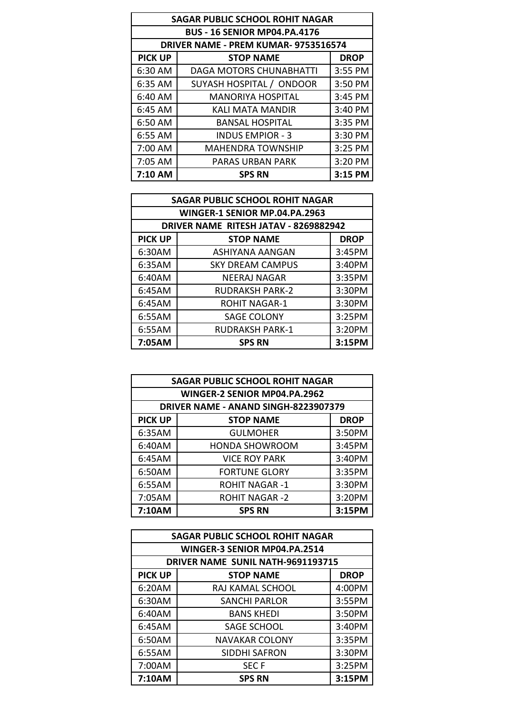| <b>SAGAR PUBLIC SCHOOL ROHIT NAGAR</b> |                                     |             |  |
|----------------------------------------|-------------------------------------|-------------|--|
|                                        | <b>BUS - 16 SENIOR MP04.PA.4176</b> |             |  |
|                                        | DRIVER NAME - PREM KUMAR-9753516574 |             |  |
| <b>PICK UP</b>                         | <b>STOP NAME</b>                    | <b>DROP</b> |  |
| 6:30 AM                                | DAGA MOTORS CHUNABHATTI             | 3:55 PM     |  |
| 6:35 AM                                | SUYASH HOSPITAL / ONDOOR            | 3:50 PM     |  |
| 6:40 AM                                | <b>MANORIYA HOSPITAL</b>            | 3:45 PM     |  |
| 6:45 AM                                | KALI MATA MANDIR                    | 3:40 PM     |  |
| 6:50 AM                                | <b>BANSAL HOSPITAL</b>              | 3:35 PM     |  |
| 6:55 AM                                | <b>INDUS EMPIOR - 3</b>             | 3:30 PM     |  |
| 7:00 AM                                | <b>MAHENDRA TOWNSHIP</b>            | 3:25 PM     |  |
| 7:05 AM                                | PARAS URBAN PARK                    | 3:20 PM     |  |
| 7:10 AM                                | <b>SPS RN</b>                       | 3:15 PM     |  |

| <b>SAGAR PUBLIC SCHOOL ROHIT NAGAR</b> |                                       |             |  |
|----------------------------------------|---------------------------------------|-------------|--|
| WINGER-1 SENIOR MP.04.PA.2963          |                                       |             |  |
|                                        | DRIVER NAME RITESH JATAV - 8269882942 |             |  |
| <b>PICK UP</b>                         | <b>STOP NAME</b>                      | <b>DROP</b> |  |
| 6:30AM                                 | <b>ASHIYANA AANGAN</b>                | 3:45PM      |  |
| 6:35AM                                 | <b>SKY DREAM CAMPUS</b>               | 3:40PM      |  |
| 6:40AM                                 | <b>NEERAJ NAGAR</b>                   | 3:35PM      |  |
| 6:45AM                                 | <b>RUDRAKSH PARK-2</b>                | 3:30PM      |  |
| 6:45AM                                 | <b>ROHIT NAGAR-1</b>                  | 3:30PM      |  |
| 6:55AM                                 | <b>SAGE COLONY</b>                    | 3:25PM      |  |
| 6:55AM                                 | <b>RUDRAKSH PARK-1</b>                | 3:20PM      |  |
| 7:05AM                                 | <b>SPS RN</b>                         | 3:15PM      |  |

| <b>SAGAR PUBLIC SCHOOL ROHIT NAGAR</b> |                                      |             |  |
|----------------------------------------|--------------------------------------|-------------|--|
| WINGER-2 SENIOR MP04.PA.2962           |                                      |             |  |
|                                        | DRIVER NAME - ANAND SINGH-8223907379 |             |  |
| <b>PICK UP</b>                         | <b>STOP NAME</b>                     | <b>DROP</b> |  |
| 6:35AM                                 | <b>GULMOHER</b>                      | 3:50PM      |  |
| 6:40AM                                 | <b>HONDA SHOWROOM</b>                | 3:45PM      |  |
| 6:45AM                                 | <b>VICE ROY PARK</b>                 | 3:40PM      |  |
| 6:50AM                                 | <b>FORTUNE GLORY</b>                 | 3:35PM      |  |
| 6:55AM                                 | <b>ROHIT NAGAR-1</b>                 | 3:30PM      |  |
| 7:05AM                                 | <b>ROHIT NAGAR-2</b>                 | 3:20PM      |  |
| 7:10AM                                 | <b>SPS RN</b>                        | 3:15PM      |  |

| <b>SAGAR PUBLIC SCHOOL ROHIT NAGAR</b> |                                   |             |  |  |
|----------------------------------------|-----------------------------------|-------------|--|--|
| WINGER-3 SENIOR MP04.PA.2514           |                                   |             |  |  |
|                                        | DRIVER NAME SUNIL NATH-9691193715 |             |  |  |
| <b>PICK UP</b>                         | <b>STOP NAME</b>                  | <b>DROP</b> |  |  |
| 6:20AM                                 | RAJ KAMAL SCHOOL                  | 4:00PM      |  |  |
| 6:30AM                                 | <b>SANCHI PARLOR</b>              | 3:55PM      |  |  |
| 6:40AM                                 | <b>BANS KHEDI</b>                 | 3:50PM      |  |  |
| 6:45AM                                 | <b>SAGE SCHOOL</b>                | 3:40PM      |  |  |
| 6:50AM                                 | <b>NAVAKAR COLONY</b>             | 3:35PM      |  |  |
| 6:55AM                                 | <b>SIDDHI SAFRON</b>              | 3:30PM      |  |  |
| 7:00AM                                 | <b>SECF</b>                       | 3:25PM      |  |  |
| 7:10AM                                 | <b>SPS RN</b>                     | 3:15PM      |  |  |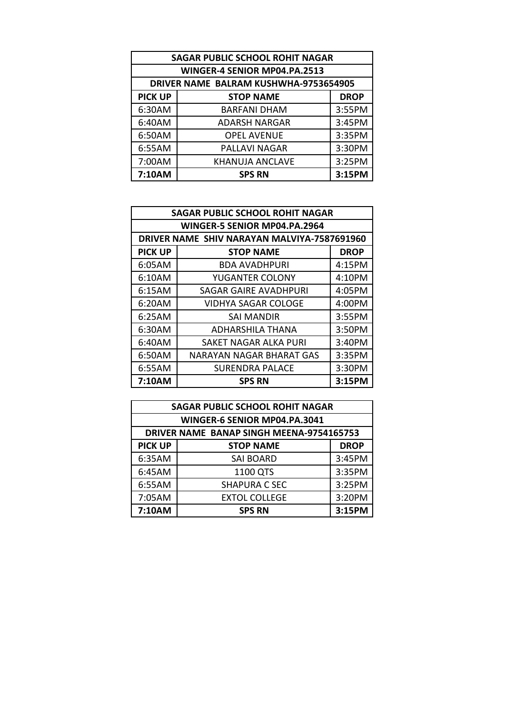| <b>SAGAR PUBLIC SCHOOL ROHIT NAGAR</b> |                                       |             |  |  |
|----------------------------------------|---------------------------------------|-------------|--|--|
|                                        | WINGER-4 SENIOR MP04.PA.2513          |             |  |  |
|                                        | DRIVER NAME BALRAM KUSHWHA-9753654905 |             |  |  |
| <b>PICK UP</b>                         | <b>STOP NAME</b>                      | <b>DROP</b> |  |  |
| 6:30AM                                 | <b>BARFANI DHAM</b>                   | 3:55PM      |  |  |
| 6:40AM                                 | <b>ADARSH NARGAR</b>                  | 3:45PM      |  |  |
| 6:50AM                                 | <b>OPEL AVENUE</b>                    | 3:35PM      |  |  |
| 6:55AM                                 | <b>PALLAVI NAGAR</b>                  | 3:30PM      |  |  |
| 7:00AM                                 | <b>KHANUJA ANCLAVE</b>                | 3:25PM      |  |  |
| 7:10AM                                 | <b>SPS RN</b>                         | 3:15PM      |  |  |

| <b>SAGAR PUBLIC SCHOOL ROHIT NAGAR</b> |                                             |             |  |  |
|----------------------------------------|---------------------------------------------|-------------|--|--|
|                                        | WINGER-5 SENIOR MP04.PA.2964                |             |  |  |
|                                        | DRIVER NAME SHIV NARAYAN MALVIYA-7587691960 |             |  |  |
| <b>PICK UP</b>                         | <b>STOP NAME</b>                            | <b>DROP</b> |  |  |
| 6:05AM                                 | <b>BDA AVADHPURI</b>                        | 4:15PM      |  |  |
| 6:10AM                                 | YUGANTER COLONY                             | 4:10PM      |  |  |
| 6:15AM                                 | <b>SAGAR GAIRE AVADHPURI</b>                | 4:05PM      |  |  |
| 6:20AM                                 | VIDHYA SAGAR COLOGE                         | 4:00PM      |  |  |
| 6:25AM                                 | SAI MANDIR                                  | 3:55PM      |  |  |
| 6:30AM                                 | ADHARSHILA THANA                            | 3:50PM      |  |  |
| 6:40AM                                 | SAKET NAGAR ALKA PURI                       | 3:40PM      |  |  |
| 6:50AM                                 | <b>NARAYAN NAGAR BHARAT GAS</b>             | 3:35PM      |  |  |
| 6:55AM                                 | SURENDRA PALACE                             | 3:30PM      |  |  |
| 7:10AM                                 | SPS RN                                      | 3:15PM      |  |  |

|                | WINGER-6 SENIOR MP04.PA.3041             |             |
|----------------|------------------------------------------|-------------|
|                | DRIVER NAME BANAP SINGH MEENA-9754165753 |             |
| <b>PICK UP</b> | <b>STOP NAME</b>                         | <b>DROP</b> |
| 6:35AM         | SAI BOARD                                | 3:45PM      |
| 6:45AM         | 1100 QTS                                 | 3:35PM      |
| 6:55AM         | <b>SHAPURA C SEC</b>                     | 3:25PM      |
| 7:05AM         | <b>EXTOL COLLEGE</b>                     | 3:20PM      |
| 7:10AM         | <b>SPS RN</b>                            | 3:15PM      |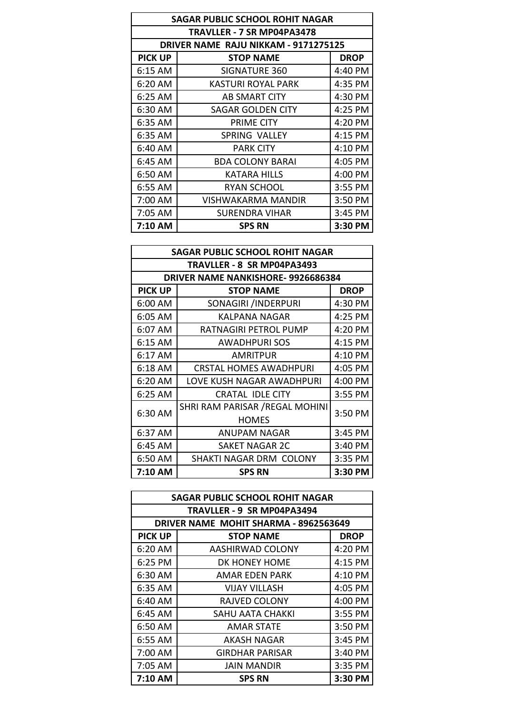| <b>SAGAR PUBLIC SCHOOL ROHIT NAGAR</b> |                                      |             |
|----------------------------------------|--------------------------------------|-------------|
| TRAVLLER - 7 SR MP04PA3478             |                                      |             |
|                                        | DRIVER NAME RAJU NIKKAM - 9171275125 |             |
| <b>PICK UP</b>                         | <b>STOP NAME</b>                     | <b>DROP</b> |
| 6:15 AM                                | SIGNATURE 360                        | 4:40 PM     |
| 6:20 AM                                | <b>KASTURI ROYAL PARK</b>            | 4:35 PM     |
| 6:25 AM                                | AB SMART CITY                        | 4:30 PM     |
| 6:30 AM                                | SAGAR GOLDEN CITY                    | 4:25 PM     |
| 6:35 AM                                | PRIME CITY                           | 4:20 PM     |
| 6:35 AM                                | SPRING VALLEY                        | 4:15 PM     |
| 6:40 AM                                | <b>PARK CITY</b>                     | 4:10 PM     |
| 6:45 AM                                | <b>BDA COLONY BARAI</b>              | 4:05 PM     |
| 6:50 AM                                | KATARA HILLS                         | 4:00 PM     |
| 6:55 AM                                | RYAN SCHOOL                          | 3:55 PM     |
| 7:00 AM                                | VISHWAKARMA MANDIR                   | 3:50 PM     |
| 7:05 AM                                | SURENDRA VIHAR                       | 3:45 PM     |
| 7:10 AM                                | <b>SPS RN</b>                        | 3:30 PM     |

| <b>SAGAR PUBLIC SCHOOL ROHIT NAGAR</b> |                                   |             |  |
|----------------------------------------|-----------------------------------|-------------|--|
| TRAVLLER - 8 SR MP04PA3493             |                                   |             |  |
|                                        | DRIVER NAME NANKISHORE-9926686384 |             |  |
| <b>PICK UP</b>                         | <b>STOP NAME</b>                  | <b>DROP</b> |  |
| 6:00 AM                                | SONAGIRI /INDERPURI               | 4:30 PM     |  |
| 6:05 AM                                | KALPANA NAGAR                     | 4:25 PM     |  |
| 6:07 AM                                | RATNAGIRI PETROL PUMP             | 4:20 PM     |  |
| 6:15 AM                                | <b>AWADHPURISOS</b>               | 4:15 PM     |  |
| 6:17 AM                                | <b>AMRITPUR</b>                   | 4:10 PM     |  |
| $6:18$ AM                              | <b>CRSTAL HOMES AWADHPURI</b>     | 4:05 PM     |  |
| 6:20 AM                                | LOVE KUSH NAGAR AWADHPURI         | 4:00 PM     |  |
| 6:25 AM                                | <b>CRATAL IDLE CITY</b>           | 3:55 PM     |  |
| 6:30 AM                                | SHRI RAM PARISAR / REGAL MOHINI   | 3:50 PM     |  |
|                                        | <b>HOMES</b>                      |             |  |
| 6:37 AM                                | <b>ANUPAM NAGAR</b>               | 3:45 PM     |  |
| 6:45 AM                                | SAKET NAGAR 2C                    | 3:40 PM     |  |
| 6:50 AM                                | SHAKTI NAGAR DRM COLONY           | 3:35 PM     |  |
| 7:10 AM                                | <b>SPS RN</b>                     | 3:30 PM     |  |

| SAGAR PUBLIC SCHOOL ROHIT NAGAR       |                        |             |  |
|---------------------------------------|------------------------|-------------|--|
| TRAVLLER - 9 SR MP04PA3494            |                        |             |  |
| DRIVER NAME MOHIT SHARMA - 8962563649 |                        |             |  |
| <b>PICK UP</b>                        | <b>STOP NAME</b>       | <b>DROP</b> |  |
| 6:20 AM                               | AASHIRWAD COLONY       | 4:20 PM     |  |
| 6:25 PM                               | DK HONEY HOME          | 4:15 PM     |  |
| 6:30 AM                               | AMAR EDEN PARK         | 4:10 PM     |  |
| 6:35 AM                               | <b>VIJAY VILLASH</b>   | 4:05 PM     |  |
| 6:40 AM                               | RAJVED COLONY          | 4:00 PM     |  |
| $6:45$ AM                             | SAHU AATA CHAKKI       | 3:55 PM     |  |
| 6:50 AM                               | AMAR STATE             | 3:50 PM     |  |
| $6:55$ AM                             | AKASH NAGAR            | 3:45 PM     |  |
| 7:00 AM                               | <b>GIRDHAR PARISAR</b> | 3:40 PM     |  |
| 7:05 AM                               | <b>JAIN MANDIR</b>     | 3:35 PM     |  |
| 7:10 AM                               | <b>SPS RN</b>          | 3:30 PM     |  |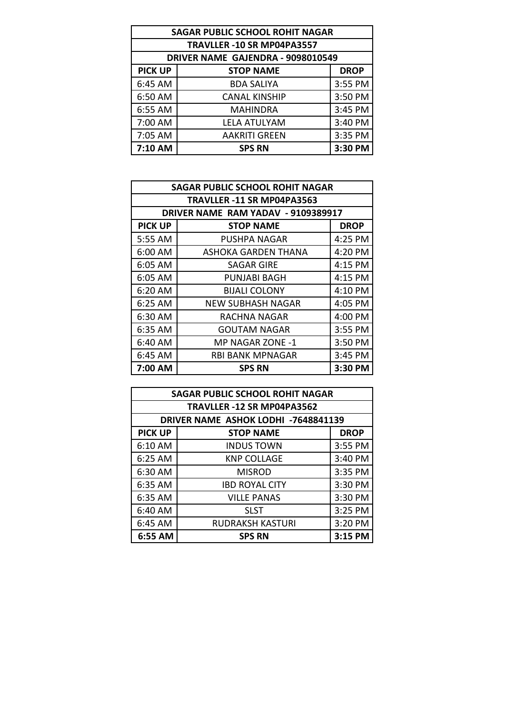| <b>SAGAR PUBLIC SCHOOL ROHIT NAGAR</b> |                      |             |  |
|----------------------------------------|----------------------|-------------|--|
| TRAVLLER -10 SR MP04PA3557             |                      |             |  |
| DRIVER NAME GAJENDRA - 9098010549      |                      |             |  |
| <b>PICK UP</b>                         | <b>STOP NAME</b>     | <b>DROP</b> |  |
| 6:45 AM                                | <b>BDA SALIYA</b>    | 3:55 PM     |  |
| 6:50 AM                                | <b>CANAL KINSHIP</b> | 3:50 PM     |  |
| 6:55 AM                                | <b>MAHINDRA</b>      | 3:45 PM     |  |
| 7:00 AM                                | <b>LELA ATULYAM</b>  | 3:40 PM     |  |
| 7:05 AM                                | <b>AAKRITI GREEN</b> | 3:35 PM     |  |
| 7:10 AM                                | <b>SPS RN</b>        | 3:30 PM     |  |

| DRIVER NAME RAM YADAV - 9109389917 |                         |             |  |
|------------------------------------|-------------------------|-------------|--|
| <b>PICK UP</b>                     | <b>STOP NAME</b>        | <b>DROP</b> |  |
| 5:55 AM                            | PUSHPA NAGAR            | $4:25$ PM   |  |
| 6:00 AM                            | ASHOKA GARDEN THANA     | $4:20$ PM   |  |
| 6:05 AM                            | SAGAR GIRE              | 4:15 PM     |  |
| 6:05 AM                            | PUNJABI BAGH            | 4:15 PM     |  |
| $6:20$ AM                          | <b>BIJALI COLONY</b>    | 4:10 PM     |  |
| $6:25$ AM                          | NEW SUBHASH NAGAR       | $4:05$ PM   |  |
| $6:30$ AM                          | RACHNA NAGAR            | 4:00 PM     |  |
| 6:35 AM                            | <b>GOUTAM NAGAR</b>     | 3:55 PM     |  |
| 6:40 AM                            | MP NAGAR ZONE -1        | 3:50 PM     |  |
| $6:45$ AM                          | <b>RBI BANK MPNAGAR</b> | 3:45 PM     |  |
| 7:00 AM                            | <b>SPS RN</b>           | 3:30 PM     |  |

| <b>SAGAR PUBLIC SCHOOL ROHIT NAGAR</b> |                         |             |  |
|----------------------------------------|-------------------------|-------------|--|
| TRAVLLER -12 SR MP04PA3562             |                         |             |  |
| DRIVER NAME ASHOK LODHI -7648841139    |                         |             |  |
| <b>PICK UP</b>                         | <b>STOP NAME</b>        | <b>DROP</b> |  |
| 6:10 AM                                | <b>INDUS TOWN</b>       | 3:55 PM     |  |
| 6:25 AM                                | <b>KNP COLLAGE</b>      | 3:40 PM     |  |
| 6:30 AM                                | <b>MISROD</b>           | 3:35 PM     |  |
| 6:35 AM                                | <b>IBD ROYAL CITY</b>   | 3:30 PM     |  |
| 6:35 AM                                | <b>VILLE PANAS</b>      | 3:30 PM     |  |
| 6:40 AM                                | <b>SLST</b>             | 3:25 PM     |  |
| 6:45 AM                                | <b>RUDRAKSH KASTURI</b> | 3:20 PM     |  |
| 6:55 AM                                | <b>SPS RN</b>           | 3:15 PM     |  |